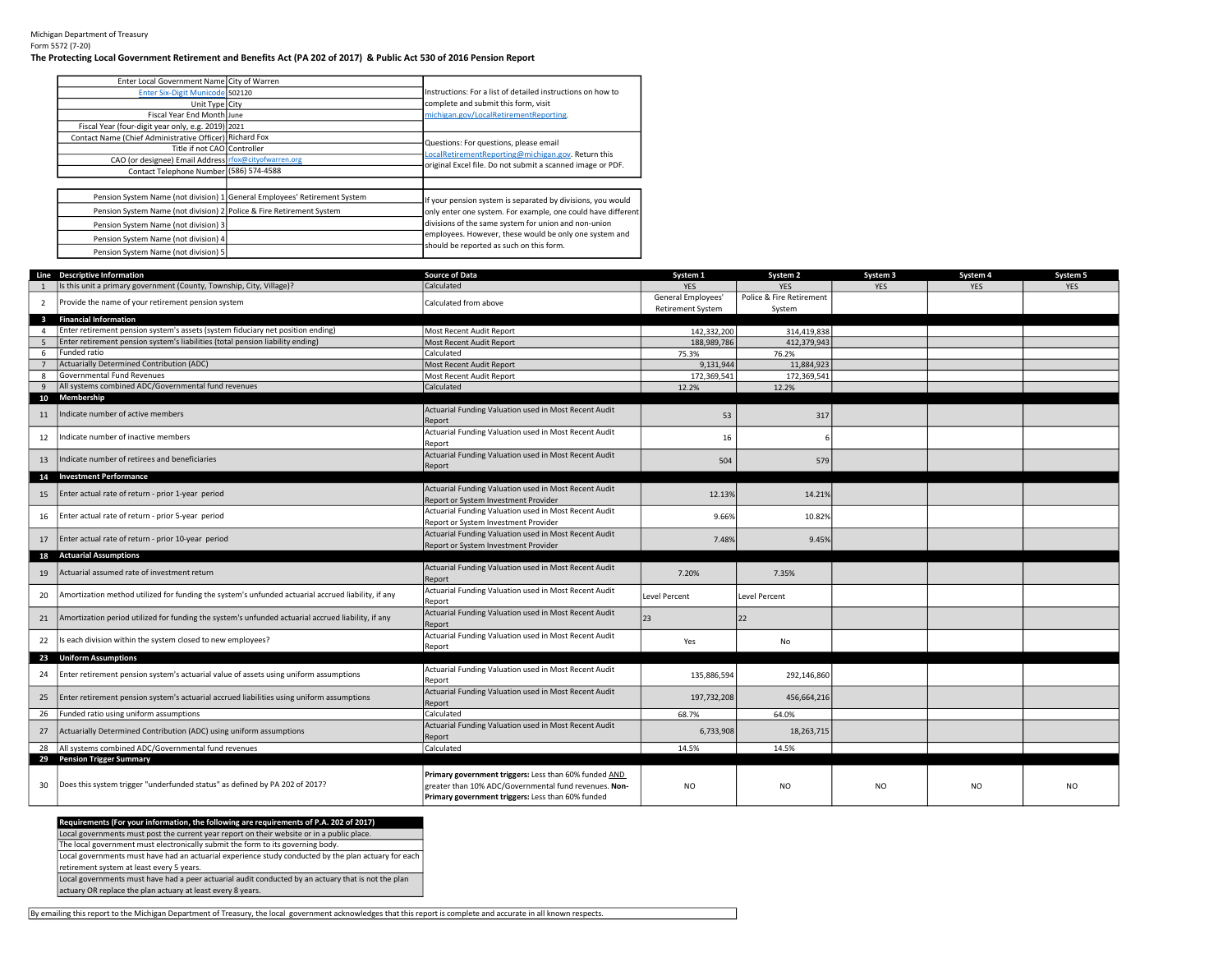## Michigan Department of Treasury Form 5572 (7-20)

## The Protecting Local Government Retirement and Benefits Act (PA 202 of 2017) & Public Act 530 of 2016 Pension Report

| Enter Local Government Name City of Warren                           |                                                                           |                                                              |
|----------------------------------------------------------------------|---------------------------------------------------------------------------|--------------------------------------------------------------|
| Enter Six-Digit Municode 502120                                      |                                                                           | Instructions: For a list of detailed instructions on how to  |
| Unit Type City                                                       |                                                                           | complete and submit this form, visit                         |
| Fiscal Year End Month June                                           |                                                                           | michigan.gov/LocalRetirementReporting.                       |
| Fiscal Year (four-digit year only, e.g. 2019) 2021                   |                                                                           |                                                              |
| Contact Name (Chief Administrative Officer) Richard Fox              |                                                                           | Questions: For questions, please email                       |
| Title if not CAO Controller                                          |                                                                           | LocalRetirementReporting@michigan.gov. Return this           |
| CAO (or designee) Email Address rfox@cityofwarren.org                |                                                                           | original Excel file. Do not submit a scanned image or PDF.   |
| Contact Telephone Number (586) 574-4588                              |                                                                           |                                                              |
|                                                                      |                                                                           |                                                              |
|                                                                      | Pension System Name (not division) 1 General Employees' Retirement System | If your pension system is separated by divisions, you would  |
| Pension System Name (not division) 2 Police & Fire Retirement System |                                                                           | only enter one system. For example, one could have different |
| Pension System Name (not division) 3                                 |                                                                           | divisions of the same system for union and non-union         |
| Pension System Name (not division) 4                                 |                                                                           | employees. However, these would be only one system and       |
| Pension System Name (not division) 5                                 |                                                                           | should be reported as such on this form.                     |

|                         | Line Descriptive Information                                                                       | <b>Source of Data</b>                                           | System 1                 | System 2                 | System 3   | System 4   | System 5       |
|-------------------------|----------------------------------------------------------------------------------------------------|-----------------------------------------------------------------|--------------------------|--------------------------|------------|------------|----------------|
|                         | Is this unit a primary government (County, Township, City, Village)?                               | Calculated                                                      | <b>YES</b>               | <b>YES</b>               | <b>YES</b> | <b>YES</b> | <b>YES</b>     |
| $\overline{2}$          | Provide the name of your retirement pension system                                                 | Calculated from above                                           | General Employees'       | Police & Fire Retirement |            |            |                |
|                         |                                                                                                    |                                                                 | <b>Retirement System</b> | System                   |            |            |                |
| $\overline{\mathbf{3}}$ | <b>Financial Information</b>                                                                       |                                                                 |                          |                          |            |            |                |
| $\overline{4}$          | Enter retirement pension system's assets (system fiduciary net position ending)                    | Most Recent Audit Report                                        | 142,332,200              | 314,419,838              |            |            |                |
| 5                       | Enter retirement pension system's liabilities (total pension liability ending)                     | Most Recent Audit Report                                        | 188,989,786              | 412,379,943              |            |            |                |
| 6                       | Funded ratio<br>Actuarially Determined Contribution (ADC)                                          | Calculated                                                      | 75.3%                    | 76.2%                    |            |            |                |
| $\overline{7}$          | Governmental Fund Revenues                                                                         | Most Recent Audit Report                                        | 9,131,944                | 11,884,923               |            |            |                |
| 8<br>9                  | All systems combined ADC/Governmental fund revenues                                                | Most Recent Audit Report<br>Calculated                          | 172,369,541<br>12.2%     | 172,369,541<br>12.2%     |            |            |                |
| 10                      | Membership                                                                                         |                                                                 |                          |                          |            |            |                |
|                         |                                                                                                    | Actuarial Funding Valuation used in Most Recent Audit           |                          |                          |            |            |                |
| 11                      | Indicate number of active members                                                                  | Report                                                          | 53                       | 317                      |            |            |                |
|                         |                                                                                                    | Actuarial Funding Valuation used in Most Recent Audit           |                          |                          |            |            |                |
| 12                      | Indicate number of inactive members                                                                | Report                                                          | 16                       |                          |            |            |                |
|                         |                                                                                                    | Actuarial Funding Valuation used in Most Recent Audit           |                          |                          |            |            |                |
| 13                      | Indicate number of retirees and beneficiaries                                                      | Report                                                          | 504                      | 579                      |            |            |                |
| 14                      | <b>Investment Performance</b>                                                                      |                                                                 |                          |                          |            |            |                |
|                         | Enter actual rate of return - prior 1-year period                                                  | Actuarial Funding Valuation used in Most Recent Audit           |                          | 14.21%                   |            |            |                |
| 15                      |                                                                                                    | Report or System Investment Provider                            | 12.13%                   |                          |            |            |                |
| 16                      | Enter actual rate of return - prior 5-year period                                                  | Actuarial Funding Valuation used in Most Recent Audit           | 9.66%                    | 10.82%                   |            |            |                |
|                         |                                                                                                    | Report or System Investment Provider                            |                          |                          |            |            |                |
| 17                      | Enter actual rate of return - prior 10-year period                                                 | Actuarial Funding Valuation used in Most Recent Audit           | 7.48%                    | 9.45%                    |            |            |                |
|                         |                                                                                                    | Report or System Investment Provider                            |                          |                          |            |            |                |
| 18                      | <b>Actuarial Assumptions</b>                                                                       |                                                                 |                          |                          |            |            |                |
| 19                      | Actuarial assumed rate of investment return                                                        | Actuarial Funding Valuation used in Most Recent Audit           | 7.20%                    | 7.35%                    |            |            |                |
|                         |                                                                                                    | Report                                                          |                          |                          |            |            |                |
| 20                      | Amortization method utilized for funding the system's unfunded actuarial accrued liability, if any | Actuarial Funding Valuation used in Most Recent Audit<br>Report | Level Percent            | <b>Level Percent</b>     |            |            |                |
|                         |                                                                                                    | Actuarial Funding Valuation used in Most Recent Audit           |                          |                          |            |            |                |
| 21                      | Amortization period utilized for funding the system's unfunded actuarial accrued liability, if any | Report                                                          | 23                       | 22                       |            |            |                |
|                         |                                                                                                    | Actuarial Funding Valuation used in Most Recent Audit           |                          |                          |            |            |                |
| 22                      | Is each division within the system closed to new employees?                                        | Report                                                          | Yes                      | <b>No</b>                |            |            |                |
|                         | 23 Uniform Assumptions                                                                             |                                                                 |                          |                          |            |            |                |
|                         |                                                                                                    | Actuarial Funding Valuation used in Most Recent Audit           |                          |                          |            |            |                |
| 24                      | Enter retirement pension system's actuarial value of assets using uniform assumptions              | Report                                                          | 135,886,594              | 292,146,860              |            |            |                |
|                         |                                                                                                    | Actuarial Funding Valuation used in Most Recent Audit           |                          |                          |            |            |                |
| 25                      | Enter retirement pension system's actuarial accrued liabilities using uniform assumptions          | Report                                                          | 197,732,208              | 456,664,216              |            |            |                |
| 26                      | Funded ratio using uniform assumptions                                                             | Calculated                                                      | 68.7%                    | 64.0%                    |            |            |                |
| 27                      | Actuarially Determined Contribution (ADC) using uniform assumptions                                | Actuarial Funding Valuation used in Most Recent Audit           | 6,733,908                | 18,263,715               |            |            |                |
|                         |                                                                                                    | Report                                                          |                          |                          |            |            |                |
| 28                      | All systems combined ADC/Governmental fund revenues                                                | Calculated                                                      | 14.5%                    | 14.5%                    |            |            |                |
|                         | 29 Pension Trigger Summary                                                                         |                                                                 |                          |                          |            |            |                |
|                         |                                                                                                    | Primary government triggers: Less than 60% funded AND           |                          |                          |            |            |                |
| 30                      | Does this system trigger "underfunded status" as defined by PA 202 of 2017?                        | greater than 10% ADC/Governmental fund revenues. Non-           | <b>NO</b>                | N <sub>O</sub>           | <b>NO</b>  | <b>NO</b>  | N <sub>O</sub> |
|                         |                                                                                                    | Primary government triggers: Less than 60% funded               |                          |                          |            |            |                |

By emailing this report to the Michigan Department of Treasury, the local government acknowledges that this report is complete and accurate in all known respects.